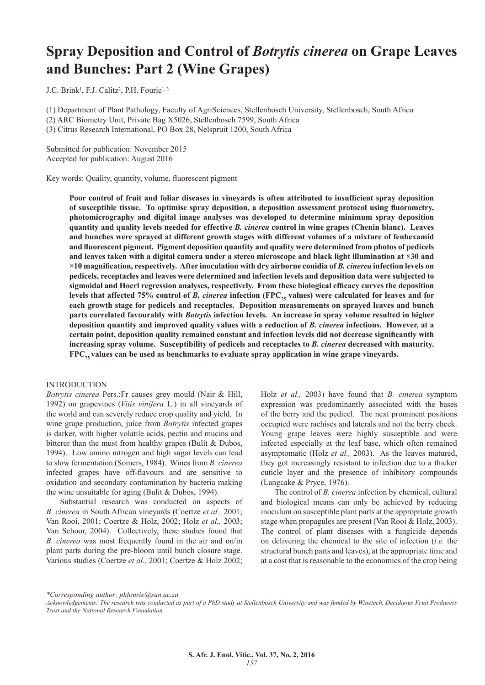# **Spray Deposition and Control of** *Botrytis cinerea* **on Grape Leaves and Bunches: Part 2 (Wine Grapes)**

J.C. Brink<sup>1</sup>, F.J. Calitz<sup>2</sup>, P.H. Fourie<sup>1, 3</sup>

(1) Department of Plant Pathology, Faculty of AgriSciences, Stellenbosch University, Stellenbosch, South Africa

(2) ARC Biometry Unit, Private Bag X5026, Stellenbosch 7599, South Africa

(3) Citrus Research International, PO Box 28, Nelspruit 1200, South Africa

Submitted for publication: November 2015 Accepted for publication: August 2016

Key words: Quality, quantity, volume, fluorescent pigment

**Poor control of fruit and foliar diseases in vineyards is often attributed to insufficient spray deposition of susceptible tissue. To optimise spray deposition, a deposition assessment protocol using fluorometry, photomicrography and digital image analyses was developed to determine minimum spray deposition quantity and quality levels needed for effective** *B. cinerea* **control in wine grapes (Chenin blanc). Leaves and bunches were sprayed at different growth stages with different volumes of a mixture of fenhexamid and fluorescent pigment. Pigment deposition quantity and quality were determined from photos of pedicels and leaves taken with a digital camera under a stereo microscope and black light illumination at ×30 and ×10 magnification, respectively. After inoculation with dry airborne conidia of** *B. cinerea* **infection levels on pedicels, receptacles and leaves were determined and infection levels and deposition data were subjected to sigmoidal and Hoerl regression analyses, respectively. From these biological efficacy curves the deposition**  levels that affected 75% control of *B. cinerea* infection (FPC<sub>75</sub> values) were calculated for leaves and for **each growth stage for pedicels and receptacles. Deposition measurements on sprayed leaves and bunch parts correlated favourably with** *Botrytis* **infection levels. An increase in spray volume resulted in higher deposition quantity and improved quality values with a reduction of** *B. cinerea* **infections. However, at a certain point, deposition quality remained constant and infection levels did not decrease significantly with increasing spray volume. Susceptibility of pedicels and receptacles to** *B. cinerea* **decreased with maturity.**  FPC<sub>75</sub> values can be used as benchmarks to evaluate spray application in wine grape vineyards.

# INTRODUCTION

*Botrytis cinerea* Pers.:Fr causes grey mould (Nair & Hill, 1992) on grapevines (*Vitis vinifera* L.) in all vineyards of the world and can severely reduce crop quality and yield. In wine grape production, juice from *Botrytis* infected grapes is darker, with higher volatile acids, pectin and mucins and bitterer than the must from healthy grapes (Bulit & Dubos, 1994). Low amino nitrogen and high sugar levels can lead to slow fermentation (Somers, 1984). Wines from *B. cinerea*  infected grapes have off-flavours and are sensitive to oxidation and secondary contamination by bacteria making the wine unsuitable for aging (Bulit & Dubos, 1994).

Substantial research was conducted on aspects of *B. cinerea* in South African vineyards (Coertze *et al.,* 2001; Van Rooi, 2001; Coertze & Holz, 2002; Holz *et al.,* 2003; Van Schoor, 2004). Collectively, these studies found that *B. cinerea* was most frequently found in the air and on/in plant parts during the pre-bloom until bunch closure stage. Various studies (Coertze *et al.,* 2001; Coertze & Holz 2002;

Holz *et al.,* 2003) have found that *B. cinerea* symptom expression was predominantly associated with the bases of the berry and the pedicel. The next prominent positions occupied were rachises and laterals and not the berry cheek. Young grape leaves were highly susceptible and were infected especially at the leaf base, which often remained asymptomatic (Holz *et al.,* 2003). As the leaves matured, they got increasingly resistant to infection due to a thicker cuticle layer and the presence of inhibitory compounds (Langcake & Pryce, 1976).

The control of *B. cinerea* infection by chemical, cultural and biological means can only be achieved by reducing inoculum on susceptible plant parts at the appropriate growth stage when propagules are present (Van Rooi & Holz, 2003). The control of plant diseases with a fungicide depends on delivering the chemical to the site of infection (*i.e.* the structural bunch parts and leaves), at the appropriate time and at a cost that is reasonable to the economics of the crop being

*\*Corresponding author: phfourie@sun.ac.za*

*Acknowledgements: The research was conducted as part of a PhD study at Stellenbosch University and was funded by Winetech, Deciduous Fruit Producers Trust and the National Research Foundation*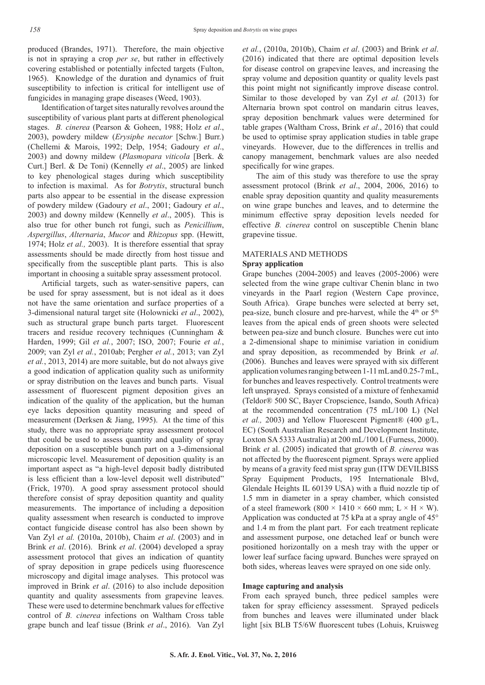produced (Brandes, 1971). Therefore, the main objective is not in spraying a crop *per se*, but rather in effectively covering established or potentially infected targets (Fulton, 1965). Knowledge of the duration and dynamics of fruit susceptibility to infection is critical for intelligent use of fungicides in managing grape diseases (Weed, 1903).

Identification of target sites naturally revolves around the susceptibility of various plant parts at different phenological stages. *B. cinerea* (Pearson & Goheen, 1988; Holz *et al*., 2003), powdery mildew (*Erysiphe necator* [Schw.] Burr.) (Chellemi & Marois, 1992; Delp, 1954; Gadoury *et al*., 2003) and downy mildew (*Plasmopara viticola* [Berk. & Curt.] Berl. & De Toni) (Kennelly *et al*., 2005) are linked to key phenological stages during which susceptibility to infection is maximal. As for *Botrytis*, structural bunch parts also appear to be essential in the disease expression of powdery mildew (Gadoury *et al*., 2001; Gadoury *et al*., 2003) and downy mildew (Kennelly *et al*., 2005). This is also true for other bunch rot fungi, such as *Penicillium*, *Aspergillus*, *Alternaria*, *Mucor* and *Rhizopus* spp. (Hewitt, 1974; Holz *et al.,* 2003). It is therefore essential that spray assessments should be made directly from host tissue and specifically from the susceptible plant parts. This is also important in choosing a suitable spray assessment protocol.

Artificial targets, such as water-sensitive papers, can be used for spray assessment, but is not ideal as it does not have the same orientation and surface properties of a 3-dimensional natural target site (Holownicki *et al*., 2002), such as structural grape bunch parts target. Fluorescent tracers and residue recovery techniques (Cunningham & Harden, 1999; Gil *et al.*, 2007; ISO, 2007; Fourie *et al.*, 2009; van Zyl *et al.*, 2010ab; Pergher *et al.*, 2013; van Zyl *et al.*, 2013, 2014) are more suitable, but do not always give a good indication of application quality such as uniformity or spray distribution on the leaves and bunch parts. Visual assessment of fluorescent pigment deposition gives an indication of the quality of the application, but the human eye lacks deposition quantity measuring and speed of measurement (Derksen & Jiang, 1995). At the time of this study, there was no appropriate spray assessment protocol that could be used to assess quantity and quality of spray deposition on a susceptible bunch part on a 3-dimensional microscopic level. Measurement of deposition quality is an important aspect as "a high-level deposit badly distributed is less efficient than a low-level deposit well distributed" (Frick, 1970). A good spray assessment protocol should therefore consist of spray deposition quantity and quality measurements. The importance of including a deposition quality assessment when research is conducted to improve contact fungicide disease control has also been shown by Van Zyl *et al.* (2010a, 2010b), Chaim *et al*. (2003) and in Brink *et al*. (2016). Brink *et al*. (2004) developed a spray assessment protocol that gives an indication of quantity of spray deposition in grape pedicels using fluorescence microscopy and digital image analyses. This protocol was improved in Brink *et al*. (2016) to also include deposition quantity and quality assessments from grapevine leaves. These were used to determine benchmark values for effective control of *B. cinerea* infections on Waltham Cross table grape bunch and leaf tissue (Brink *et al*., 2016). Van Zyl

*et al.*, (2010a, 2010b), Chaim *et al*. (2003) and Brink *et al*. (2016) indicated that there are optimal deposition levels for disease control on grapevine leaves, and increasing the spray volume and deposition quantity or quality levels past this point might not significantly improve disease control. Similar to those developed by van Zyl *et al.* (2013) for Alternaria brown spot control on mandarin citrus leaves, spray deposition benchmark values were determined for table grapes (Waltham Cross, Brink *et al*., 2016) that could be used to optimise spray application studies in table grape vineyards. However, due to the differences in trellis and canopy management, benchmark values are also needed specifically for wine grapes.

The aim of this study was therefore to use the spray assessment protocol (Brink *et al*., 2004, 2006, 2016) to enable spray deposition quantity and quality measurements on wine grape bunches and leaves, and to determine the minimum effective spray deposition levels needed for effective *B. cinerea* control on susceptible Chenin blanc grapevine tissue.

# MATERIALS AND METHODS

# **Spray application**

Grape bunches (2004-2005) and leaves (2005-2006) were selected from the wine grape cultivar Chenin blanc in two vineyards in the Paarl region (Western Cape province, South Africa). Grape bunches were selected at berry set, pea-size, bunch closure and pre-harvest, while the  $4<sup>th</sup>$  or  $5<sup>th</sup>$ leaves from the apical ends of green shoots were selected between pea-size and bunch closure. Bunches were cut into a 2-dimensional shape to minimise variation in conidium and spray deposition, as recommended by Brink *et al*. (2006). Bunches and leaves were sprayed with six different application volumes ranging between 1-11 mL and 0.25-7 mL, for bunches and leaves respectively. Control treatments were left unsprayed. Sprays consisted of a mixture of fenhexamid (Teldor® 500 SC, Bayer Cropscience, Isando, South Africa) at the recommended concentration (75 mL/100 L) (Nel *et al.,* 2003) and Yellow Fluorescent Pigment® (400 g/L, EC) (South Australian Research and Development Institute, Loxton SA 5333 Australia) at 200 mL/100 L (Furness, 2000). Brink *et* al. (2005) indicated that growth of *B. cinerea* was not affected by the fluorescent pigment. Sprays were applied by means of a gravity feed mist spray gun (ITW DEVILBISS Spray Equipment Products, 195 Internationale Blvd, Glendale Heights IL 60139 USA) with a fluid nozzle tip of 1.5 mm in diameter in a spray chamber, which consisted of a steel framework (800  $\times$  1410  $\times$  660 mm; L  $\times$  H  $\times$  W). Application was conducted at 75 kPa at a spray angle of 45° and 1.4 m from the plant part. For each treatment replicate and assessment purpose, one detached leaf or bunch were positioned horizontally on a mesh tray with the upper or lower leaf surface facing upward. Bunches were sprayed on both sides, whereas leaves were sprayed on one side only.

### **Image capturing and analysis**

From each sprayed bunch, three pedicel samples were taken for spray efficiency assessment. Sprayed pedicels from bunches and leaves were illuminated under black light [six BLB T5/6W fluorescent tubes (Lohuis, Kruisweg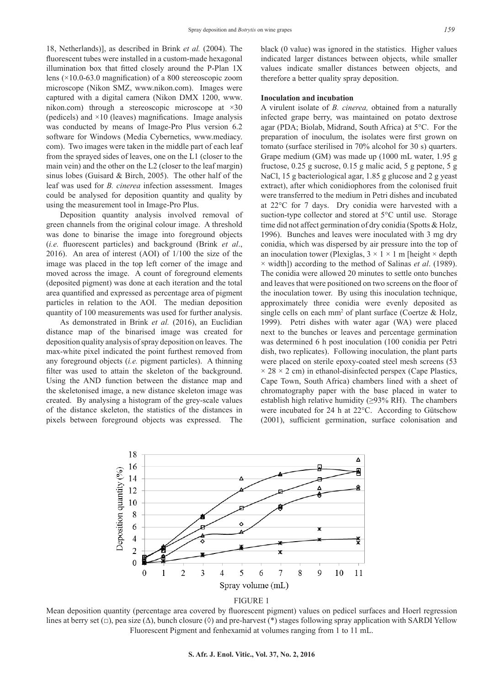18, Netherlands)], as described in Brink *et al.* (2004). The fluorescent tubes were installed in a custom-made hexagonal illumination box that fitted closely around the P-Plan 1X lens (×10.0-63.0 magnification) of a 800 stereoscopic zoom microscope (Nikon SMZ, www.nikon.com). Images were captured with a digital camera (Nikon DMX 1200, www. nikon.com) through a stereoscopic microscope at ×30 (pedicels) and  $\times$ 10 (leaves) magnifications. Image analysis was conducted by means of Image-Pro Plus version 6.2 software for Windows (Media Cybernetics, www.mediacy. com). Two images were taken in the middle part of each leaf from the sprayed sides of leaves, one on the L1 (closer to the main vein) and the other on the L2 (closer to the leaf margin) sinus lobes (Guisard & Birch, 2005). The other half of the leaf was used for *B. cinerea* infection assessment. Images could be analysed for deposition quantity and quality by using the measurement tool in Image-Pro Plus.

Deposition quantity analysis involved removal of green channels from the original colour image. A threshold was done to binarise the image into foreground objects (*i.e.* fluorescent particles) and background (Brink *et al*., 2016). An area of interest (AOI) of 1/100 the size of the image was placed in the top left corner of the image and moved across the image. A count of foreground elements (deposited pigment) was done at each iteration and the total area quantified and expressed as percentage area of pigment particles in relation to the AOI. The median deposition quantity of 100 measurements was used for further analysis.

As demonstrated in Brink *et al.* (2016), an Euclidian distance map of the binarised image was created for deposition quality analysis of spray deposition on leaves. The max-white pixel indicated the point furthest removed from any foreground objects (*i.e.* pigment particles). A thinning filter was used to attain the skeleton of the background. Using the AND function between the distance map and the skeletonised image, a new distance skeleton image was created. By analysing a histogram of the grey-scale values of the distance skeleton, the statistics of the distances in pixels between foreground objects was expressed. The black (0 value) was ignored in the statistics. Higher values indicated larger distances between objects, while smaller values indicate smaller distances between objects, and therefore a better quality spray deposition.

# **Inoculation and incubation**

A virulent isolate of *B. cinerea,* obtained from a naturally infected grape berry, was maintained on potato dextrose agar (PDA; Biolab, Midrand, South Africa) at 5°C. For the preparation of inoculum, the isolates were first grown on tomato (surface sterilised in 70% alcohol for 30 s) quarters. Grape medium (GM) was made up (1000 mL water, 1.95 g fructose, 0.25 g sucrose, 0.15 g malic acid, 5 g peptone, 5 g NaCl, 15 g bacteriological agar, 1.85 g glucose and 2 g yeast extract), after which conidiophores from the colonised fruit were transferred to the medium in Petri dishes and incubated at 22°C for 7 days. Dry conidia were harvested with a suction-type collector and stored at 5°C until use. Storage time did not affect germination of dry conidia (Spotts & Holz, 1996). Bunches and leaves were inoculated with 3 mg dry conidia, which was dispersed by air pressure into the top of an inoculation tower (Plexiglas,  $3 \times 1 \times 1$  m [height  $\times$  depth × width]) according to the method of Salinas *et al*. (1989). The conidia were allowed 20 minutes to settle onto bunches and leaves that were positioned on two screens on the floor of the inoculation tower. By using this inoculation technique, approximately three conidia were evenly deposited as single cells on each  $mm<sup>2</sup>$  of plant surface (Coertze & Holz, 1999). Petri dishes with water agar (WA) were placed next to the bunches or leaves and percentage germination was determined 6 h post inoculation (100 conidia per Petri dish, two replicates). Following inoculation, the plant parts were placed on sterile epoxy-coated steel mesh screens (53  $\times$  28  $\times$  2 cm) in ethanol-disinfected perspex (Cape Plastics, Cape Town, South Africa) chambers lined with a sheet of chromatography paper with the base placed in water to establish high relative humidity ( $\geq$ 93% RH). The chambers were incubated for 24 h at 22°C. According to Gütschow (2001), sufficient germination, surface colonisation and





Mean deposition quantity (percentage area covered by fluorescent pigment) values on pedicel surfaces and Hoerl regression lines at berry set  $(\Box)$ , pea size  $(\Delta)$ , bunch closure  $(\Diamond)$  and pre-harvest  $(*)$  stages following spray application with SARDI Yellow Fluorescent Pigment and fenhexamid at volumes ranging from 1 to 11 mL.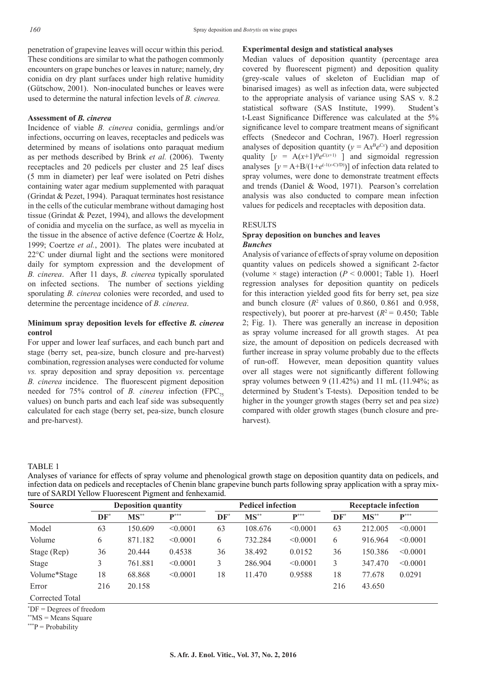penetration of grapevine leaves will occur within this period. These conditions are similar to what the pathogen commonly encounters on grape bunches or leaves in nature; namely, dry conidia on dry plant surfaces under high relative humidity (Gütschow, 2001). Non-inoculated bunches or leaves were used to determine the natural infection levels of *B. cinerea.*

### **Assessment of** *B. cinerea*

Incidence of viable *B. cinerea* conidia, germlings and/or infections, occurring on leaves, receptacles and pedicels was determined by means of isolations onto paraquat medium as per methods described by Brink *et al.* (2006). Twenty receptacles and 20 pedicels per cluster and 25 leaf discs (5 mm in diameter) per leaf were isolated on Petri dishes containing water agar medium supplemented with paraquat (Grindat & Pezet, 1994). Paraquat terminates host resistance in the cells of the cuticular membrane without damaging host tissue (Grindat & Pezet, 1994), and allows the development of conidia and mycelia on the surface, as well as mycelia in the tissue in the absence of active defence (Coertze & Holz, 1999; Coertze *et al.*, 2001). The plates were incubated at 22°C under diurnal light and the sections were monitored daily for symptom expression and the development of *B. cinerea*. After 11 days, *B. cinerea* typically sporulated on infected sections. The number of sections yielding sporulating *B. cinerea* colonies were recorded, and used to determine the percentage incidence of *B. cinerea*.

# **Minimum spray deposition levels for effective** *B. cinerea* **control**

For upper and lower leaf surfaces, and each bunch part and stage (berry set, pea-size, bunch closure and pre-harvest) combination, regression analyses were conducted for volume *vs.* spray deposition and spray deposition *vs.* percentage *B. cinerea* incidence. The fluorescent pigment deposition needed for 75% control of *B. cinerea* infection (FPC<sub>75</sub>) values) on bunch parts and each leaf side was subsequently calculated for each stage (berry set, pea-size, bunch closure and pre-harvest).

#### **Experimental design and statistical analyses**

Median values of deposition quantity (percentage area covered by fluorescent pigment) and deposition quality (grey-scale values of skeleton of Euclidian map of binarised images) as well as infection data, were subjected to the appropriate analysis of variance using SAS v. 8.2 statistical software (SAS Institute, 1999). Student's t-Least Significance Difference was calculated at the 5% significance level to compare treatment means of significant effects (Snedecor and Cochran, 1967). Hoerl regression analyses of deposition quantity ( $y = Ax^Be^{Cx}$ ) and deposition quality  $[y = A(x+1)^B e^{C(x+1)}]$  and sigmoidal regression analyses  $[v = A+B/(1+e^{(-1(x-C)/D)})]$  of infection data related to spray volumes, were done to demonstrate treatment effects and trends (Daniel & Wood, 1971). Pearson's correlation analysis was also conducted to compare mean infection values for pedicels and receptacles with deposition data.

# RESULTS

# **Spray deposition on bunches and leaves** *Bunches*

Analysis of variance of effects of spray volume on deposition quantity values on pedicels showed a significant 2-factor (volume  $\times$  stage) interaction ( $P < 0.0001$ ; Table 1). Hoerl regression analyses for deposition quantity on pedicels for this interaction yielded good fits for berry set, pea size and bunch closure  $(R^2$  values of 0.860, 0.861 and 0.958, respectively), but poorer at pre-harvest  $(R^2 = 0.450)$ ; Table 2; Fig. 1). There was generally an increase in deposition as spray volume increased for all growth stages. At pea size, the amount of deposition on pedicels decreased with further increase in spray volume probably due to the effects of run-off. However, mean deposition quantity values over all stages were not significantly different following spray volumes between 9  $(11.42\%)$  and 11 mL  $(11.94\%$ ; as determined by Student's T-tests). Deposition tended to be higher in the younger growth stages (berry set and pea size) compared with older growth stages (bunch closure and preharvest).

# TABLE 1

Analyses of variance for effects of spray volume and phenological growth stage on deposition quantity data on pedicels, and infection data on pedicels and receptacles of Chenin blanc grapevine bunch parts following spray application with a spray mixture of SARDI Yellow Fluorescent Pigment and fenhexamid.

| <b>Source</b>   |        | <b>Deposition quantity</b> |                 |        | <b>Pedicel infection</b> |                  |        | <b>Receptacle infection</b> |                 |  |
|-----------------|--------|----------------------------|-----------------|--------|--------------------------|------------------|--------|-----------------------------|-----------------|--|
|                 | $DF^*$ | $MS^{**}$                  | ${\bf P}^{***}$ | $DF^*$ | $MS^{**}$                | $\mathbf{p}$ *** | $DF^*$ | $MS^*$                      | ${\bf P}^{***}$ |  |
| Model           | 63     | 50.609                     | < 0.0001        | 63     | 108.676                  | < 0.0001         | 63     | 212.005                     | < 0.0001        |  |
| Volume          | 6      | 871.182                    | < 0.0001        | 6      | 732.284                  | < 0.0001         | 6      | 916.964                     | < 0.0001        |  |
| Stage (Rep)     | 36     | 20.444                     | 0.4538          | 36     | 38.492                   | 0.0152           | 36     | 150.386                     | < 0.0001        |  |
| Stage           |        | 761.881                    | < 0.0001        | 3      | 286.904                  | < 0.0001         | 3      | 347.470                     | < 0.0001        |  |
| Volume*Stage    | 18     | 68.868                     | < 0.0001        | 18     | 11.470                   | 0.9588           | 18     | 77.678                      | 0.0291          |  |
| Error           | 216    | 20.158                     |                 |        |                          |                  | 216    | 43.650                      |                 |  |
| Corrected Total |        |                            |                 |        |                          |                  |        |                             |                 |  |

\* DF = Degrees of freedom

\*\*MS = Means Square

\*\*\*P = Probability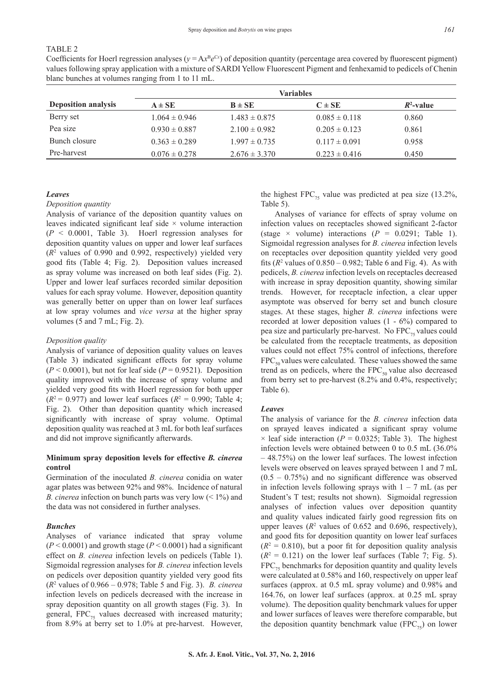# TABLE 2

Coefficients for Hoerl regression analyses  $(y = Ax^Be^{Cx})$  of deposition quantity (percentage area covered by fluorescent pigment) values following spray application with a mixture of SARDI Yellow Fluorescent Pigment and fenhexamid to pedicels of Chenin blanc bunches at volumes ranging from 1 to 11 mL.

|                            | <b>Variables</b>  |                   |                   |              |  |  |  |  |
|----------------------------|-------------------|-------------------|-------------------|--------------|--|--|--|--|
| <b>Deposition analysis</b> | $A \pm SE$        | $B \pm SE$        | $C \pm SE$        | $R^2$ -value |  |  |  |  |
| Berry set                  | $1.064 \pm 0.946$ | $1.483 \pm 0.875$ | $0.085 \pm 0.118$ | 0.860        |  |  |  |  |
| Pea size                   | $0.930 \pm 0.887$ | $2.100 \pm 0.982$ | $0.205 \pm 0.123$ | 0.861        |  |  |  |  |
| Bunch closure              | $0.363 \pm 0.289$ | $1.997 \pm 0.735$ | $0.117 \pm 0.091$ | 0.958        |  |  |  |  |
| Pre-harvest                | $0.076 \pm 0.278$ | $2.676 \pm 3.370$ | $0.223 \pm 0.416$ | 0.450        |  |  |  |  |

# *Leaves*

# *Deposition quantity*

Analysis of variance of the deposition quantity values on leaves indicated significant leaf side  $\times$  volume interaction (*P* < 0.0001, Table 3). Hoerl regression analyses for deposition quantity values on upper and lower leaf surfaces (*R*<sup>2</sup> values of 0.990 and 0.992, respectively) yielded very good fits (Table 4; Fig. 2). Deposition values increased as spray volume was increased on both leaf sides (Fig. 2). Upper and lower leaf surfaces recorded similar deposition values for each spray volume. However, deposition quantity was generally better on upper than on lower leaf surfaces at low spray volumes and *vice versa* at the higher spray volumes (5 and 7 mL; Fig. 2).

### *Deposition quality*

Analysis of variance of deposition quality values on leaves (Table 3) indicated significant effects for spray volume  $(P < 0.0001)$ , but not for leaf side  $(P = 0.9521)$ . Deposition quality improved with the increase of spray volume and yielded very good fits with Hoerl regression for both upper  $(R^2 = 0.977)$  and lower leaf surfaces  $(R^2 = 0.990)$ ; Table 4; Fig. 2). Other than deposition quantity which increased significantly with increase of spray volume. Optimal deposition quality was reached at 3 mL for both leaf surfaces and did not improve significantly afterwards.

# **Minimum spray deposition levels for effective** *B. cinerea* **control**

Germination of the inoculated *B. cinerea* conidia on water agar plates was between 92% and 98%. Incidence of natural *B. cinerea* infection on bunch parts was very low (< 1%) and the data was not considered in further analyses.

### *Bunches*

Analyses of variance indicated that spray volume  $(P < 0.0001)$  and growth stage  $(P < 0.0001)$  had a significant effect on *B. cinerea* infection levels on pedicels (Table 1). Sigmoidal regression analyses for *B. cinerea* infection levels on pedicels over deposition quantity yielded very good fits (*R*<sup>2</sup> values of 0.966 – 0.978; Table 5 and Fig. 3). *B. cinerea*  infection levels on pedicels decreased with the increase in spray deposition quantity on all growth stages (Fig. 3). In general,  $FPC_{75}$  values decreased with increased maturity; from 8.9% at berry set to 1.0% at pre-harvest. However,

the highest FPC<sub>75</sub> value was predicted at pea size (13.2%, Table 5).

Analyses of variance for effects of spray volume on infection values on receptacles showed significant 2-factor (stage  $\times$  volume) interactions ( $P = 0.0291$ ; Table 1). Sigmoidal regression analyses for *B. cinerea* infection levels on receptacles over deposition quantity yielded very good fits  $(R^2$  values of  $0.850 - 0.982$ ; Table 6 and Fig. 4). As with pedicels, *B. cinerea* infection levels on receptacles decreased with increase in spray deposition quantity, showing similar trends. However, for receptacle infection, a clear upper asymptote was observed for berry set and bunch closure stages. At these stages, higher *B. cinerea* infections were recorded at lower deposition values (1 - 6%) compared to pea size and particularly pre-harvest. No  $FPC_{75}$  values could be calculated from the receptacle treatments, as deposition values could not effect 75% control of infections, therefore  $FPC_{50}$  values were calculated. These values showed the same trend as on pedicels, where the  $FPC_{50}$  value also decreased from berry set to pre-harvest (8.2% and 0.4%, respectively; Table 6).

### *Leaves*

The analysis of variance for the *B. cinerea* infection data on sprayed leaves indicated a significant spray volume  $\times$  leaf side interaction ( $P = 0.0325$ ; Table 3). The highest infection levels were obtained between 0 to 0.5 mL (36.0% – 48.75%) on the lower leaf surfaces. The lowest infection levels were observed on leaves sprayed between 1 and 7 mL  $(0.5 - 0.75%)$  and no significant difference was observed in infection levels following sprays with  $1 - 7$  mL (as per Student's T test; results not shown). Sigmoidal regression analyses of infection values over deposition quantity and quality values indicated fairly good regression fits on upper leaves  $(R^2$  values of 0.652 and 0.696, respectively), and good fits for deposition quantity on lower leaf surfaces  $(R<sup>2</sup> = 0.810)$ , but a poor fit for deposition quality analysis  $(R<sup>2</sup> = 0.121)$  on the lower leaf surfaces (Table 7; Fig. 5).  $FPC<sub>55</sub>$  benchmarks for deposition quantity and quality levels were calculated at 0.58% and 160, respectively on upper leaf surfaces (approx. at 0.5 mL spray volume) and 0.98% and 164.76, on lower leaf surfaces (approx. at 0.25 mL spray volume). The deposition quality benchmark values for upper and lower surfaces of leaves were therefore comparable, but the deposition quantity benchmark value (FPC $_{75}$ ) on lower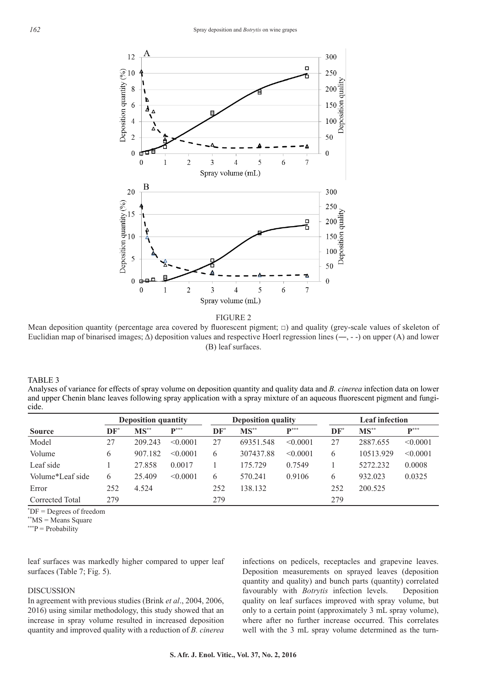

FIGURE 2

Mean deposition quantity (percentage area covered by fluorescent pigment; □) and quality (grey-scale values of skeleton of Euclidian map of binarised images; Δ) deposition values and respective Hoerl regression lines (**―**, - -) on upper (A) and lower (B) leaf surfaces.

TABLE 3

1 Analyses of variance for effects of spray volume on deposition quantity and quality data and *B. cinerea* infection data on lower and upper Chenin blanc leaves following spray application with a spray mixture of an aqueous fluorescent pigment and fungicide.

|                  |        | <b>Deposition quantity</b> |                    | <b>Deposition quality</b> |           |                    | <b>Leaf infection</b> |           |                    |
|------------------|--------|----------------------------|--------------------|---------------------------|-----------|--------------------|-----------------------|-----------|--------------------|
| <b>Source</b>    | $DF^*$ | $MS**$                     | $\mathbf{D}^{***}$ | $DF^*$                    | $MS^{**}$ | $\mathbf{p}^{***}$ | DF                    | $MS^{**}$ | $\mathbf{p}^{***}$ |
| Model            | 27     | 209 243                    | < 0.0001           | 27                        | 69351.548 | < 0.0001           | 27                    | 2887.655  | < 0.0001           |
| Volume           | 6      | 907.182                    | < 0.0001           | 6                         | 307437.88 | < 0.0001           | 6                     | 10513.929 | < 0.0001           |
| Leaf side        |        | 27.858                     | 0.0017             |                           | 175.729   | 0.7549             |                       | 5272.232  | 0.0008             |
| Volume*Leaf side | 6      | 25.409                     | < 0.0001           | 6                         | 570.241   | 0.9106             | 6                     | 932.023   | 0.0325             |
| Error            | 252    | 4.524                      |                    | 252                       | 138.132   |                    | 252                   | 200.525   |                    |
| Corrected Total  | 279    |                            |                    | 279                       |           |                    | 279                   |           |                    |

\* DF = Degrees of freedom

\*\*MS = Means Square

\*\*\*P = Probability

leaf surfaces was markedly higher compared to upper leaf surfaces (Table 7; Fig. 5).

# DISCUSSION

In agreement with previous studies (Brink *et al*., 2004, 2006, 2016) using similar methodology, this study showed that an increase in spray volume resulted in increased deposition quantity and improved quality with a reduction of *B. cinerea*

infections on pedicels, receptacles and grapevine leaves. Deposition measurements on sprayed leaves (deposition quantity and quality) and bunch parts (quantity) correlated favourably with *Botrytis* infection levels. Deposition quality on leaf surfaces improved with spray volume, but only to a certain point (approximately 3 mL spray volume), where after no further increase occurred. This correlates well with the 3 mL spray volume determined as the turn-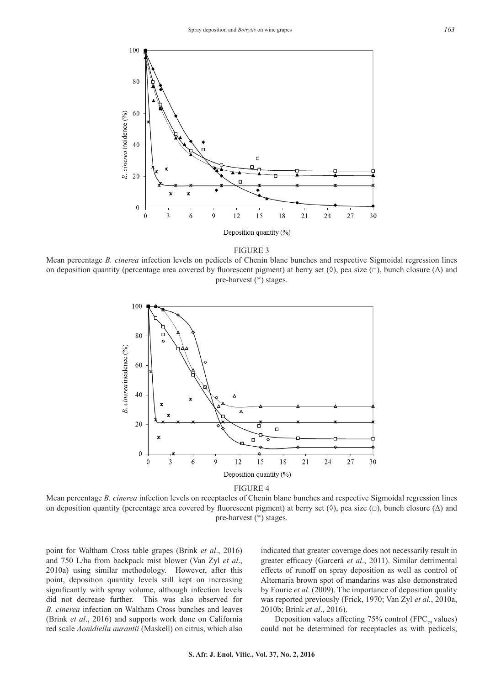

FIGURE 3

Mean percentage *B. cinerea* infection levels on pedicels of Chenin blanc bunches and respective Sigmoidal regression lines on deposition quantity (percentage area covered by fluorescent pigment) at berry set  $(\Diamond)$ , pea size  $(\Box)$ , bunch closure  $(\Delta)$  and pre-harvest (\*) stages.





Mean percentage *B. cinerea* infection levels on receptacles of Chenin blanc bunches and respective Sigmoidal regression lines on deposition quantity (percentage area covered by fluorescent pigment) at berry set ( $\Diamond$ ), pea size ( $\Box$ ), bunch closure ( $\Delta$ ) and pre-harvest (\*) stages.

point for Waltham Cross table grapes (Brink *et al*., 2016) and 750 L/ha from backpack mist blower (Van Zyl *et al*., 2010a) using similar methodology. However, after this point, deposition quantity levels still kept on increasing significantly with spray volume, although infection levels did not decrease further. This was also observed for *B. cinerea* infection on Waltham Cross bunches and leaves (Brink *et al*., 2016) and supports work done on California red scale *Aonidiella aurantii* (Maskell) on citrus, which also indicated that greater coverage does not necessarily result in greater efficacy (Garcerá *et al*., 2011). Similar detrimental effects of runoff on spray deposition as well as control of Alternaria brown spot of mandarins was also demonstrated by Fourie *et al.* (2009). The importance of deposition quality was reported previously (Frick, 1970; Van Zyl *et al.*, 2010a, 2010b; Brink *et al*., 2016).

Deposition values affecting 75% control (FPC $_{75}$  values) could not be determined for receptacles as with pedicels,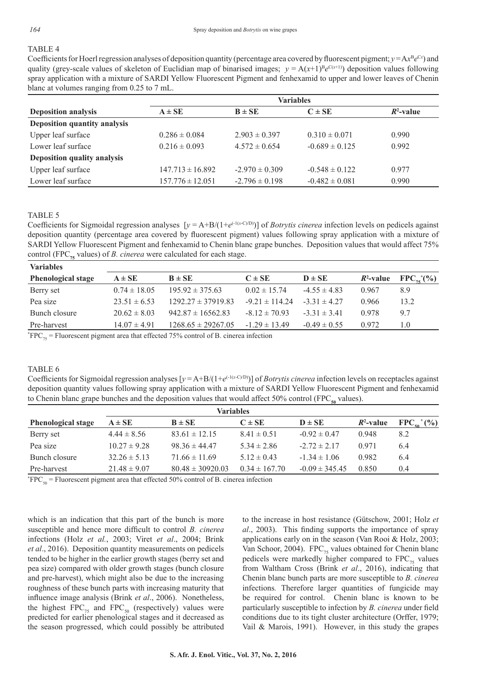# TABLE 4

Coefficients for Hoerl regression analyses of deposition quantity (percentage area covered by fluorescent pigment;  $y = Ax^Be^{Cx}$ ) and quality (grey-scale values of skeleton of Euclidian map of binarised images;  $y = A(x+1)^{B}e^{C(x+1)}$ ) deposition values following spray application with a mixture of SARDI Yellow Fluorescent Pigment and fenhexamid to upper and lower leaves of Chenin blanc at volumes ranging from 0.25 to 7 mL.

|                              | <b>Variables</b>     |                    |                    |              |  |  |  |
|------------------------------|----------------------|--------------------|--------------------|--------------|--|--|--|
| <b>Deposition analysis</b>   | $A \pm SE$           | $B \pm SE$         | $C \pm SE$         | $R^2$ -value |  |  |  |
| Deposition quantity analysis |                      |                    |                    |              |  |  |  |
| Upper leaf surface           | $0.286 \pm 0.084$    | $2.903 \pm 0.397$  | $0.310 \pm 0.071$  | 0.990        |  |  |  |
| Lower leaf surface           | $0.216 \pm 0.093$    | $4.572 \pm 0.654$  | $-0.689 \pm 0.125$ | 0.992        |  |  |  |
| Deposition quality analysis  |                      |                    |                    |              |  |  |  |
| Upper leaf surface           | $147.713 \pm 16.892$ | $-2.970 \pm 0.309$ | $-0.548 \pm 0.122$ | 0.977        |  |  |  |
| Lower leaf surface           | $157.776 \pm 12.051$ | $-2.796 \pm 0.198$ | $-0.482 \pm 0.081$ | 0.990        |  |  |  |
|                              |                      |                    |                    |              |  |  |  |

### TABLE 5

Coefficients for Sigmoidal regression analyses  $[y = A+B/(1+e^{(-1(x-C)/D)})]$  of *Botrytis cinerea* infection levels on pedicels against deposition quantity (percentage area covered by fluorescent pigment) values following spray application with a mixture of SARDI Yellow Fluorescent Pigment and fenhexamid to Chenin blanc grape bunches. Deposition values that would affect 75% control (FPC<sub>75</sub> values) of *B. cinerea* were calculated for each stage.

| <b>Variables</b>                    |                  |                        |                   |                  |              |                       |
|-------------------------------------|------------------|------------------------|-------------------|------------------|--------------|-----------------------|
| <b>Phenological stage</b>           | $A \pm SE$       | $B \pm SE$             | $C \pm SE$        | $D \pm SE$       | $R^2$ -value | $FPC_{75}^{\ast}$ (%) |
| Berry set                           | $0.74 \pm 18.05$ | $195.92 \pm 375.63$    | $0.02 \pm 15.74$  | $-4.55 \pm 4.83$ | 0.967        | 8.9                   |
| Pea size                            | $23.51 \pm 6.53$ | $1292.27 \pm 37919.83$ | $-921 \pm 11424$  | $-331 \pm 427$   | 0.966        | 13.2                  |
| Bunch closure                       | $20.62 \pm 8.03$ | $942.87 \pm 16562.83$  | $-8.12 \pm 70.93$ | $-3.31 \pm 3.41$ | 0.978        | 9.7                   |
| Pre-harvest                         | $14.07 \pm 4.91$ | $1268.65 \pm 29267.05$ | $-1.29 \pm 13.49$ | $-0.49 \pm 0.55$ | 0.972        | 1.0                   |
| $\pi$ nn $\alpha$<br>T <sub>1</sub> |                  |                        | $\sim$ $\sim$     |                  |              |                       |

 $*FPC_{75}$  = Fluorescent pigment area that effected 75% control of B. cinerea infection

# TABLE 6

Coefficients for Sigmoidal regression analyses  $[y = A+B/(1+e^{(-1(x+C)/D)})]$  of *Botrytis cinerea* infection levels on receptacles against deposition quantity values following spray application with a mixture of SARDI Yellow Fluorescent Pigment and fenhexamid to Chenin blanc grape bunches and the deposition values that would affect 50% control (FPC $_{50}$  values).

| <b>Variables</b>          |                  |                      |                   |                    |              |                             |  |  |  |
|---------------------------|------------------|----------------------|-------------------|--------------------|--------------|-----------------------------|--|--|--|
| <b>Phenological stage</b> | $A \pm SE$       | $B \pm SE$           | $C \pm SE$        | $D \pm SE$         | $R^2$ -value | $FPC_{50}$ <sup>*</sup> (%) |  |  |  |
| Berry set                 | $4.44 \pm 8.56$  | $83.61 \pm 12.15$    | $8.41 \pm 0.51$   | $-0.92 \pm 0.47$   | 0.948        | 8.2                         |  |  |  |
| Pea size                  | $10.27 \pm 9.28$ | $98.36 \pm 44.47$    | $5.34 \pm 2.86$   | $-2.72 \pm 2.17$   | 0.971        | 6.4                         |  |  |  |
| Bunch closure             | $32.26 \pm 5.13$ | $71.66 \pm 11.69$    | $5.12 \pm 0.43$   | $-1.34 \pm 1.06$   | 0.982        | 6.4                         |  |  |  |
| Pre-harvest               | $21.48 \pm 9.07$ | $80.48 \pm 30920.03$ | $0.34 \pm 167.70$ | $-0.09 \pm 345.45$ | 0.850        | 0.4                         |  |  |  |

 $*FPC_{50}$  = Fluorescent pigment area that effected 50% control of B. cinerea infection

which is an indication that this part of the bunch is more susceptible and hence more difficult to control *B. cinerea* infections (Holz *et al.*, 2003; Viret *et al*., 2004; Brink *et al*., 2016). Deposition quantity measurements on pedicels tended to be higher in the earlier growth stages (berry set and pea size) compared with older growth stages (bunch closure and pre-harvest), which might also be due to the increasing roughness of these bunch parts with increasing maturity that influence image analysis (Brink *et al*., 2006). Nonetheless, the highest  $FPC_{75}$  and  $FPC_{50}$  (respectively) values were predicted for earlier phenological stages and it decreased as the season progressed, which could possibly be attributed

to the increase in host resistance (Gütschow, 2001; Holz *et al*., 2003). This finding supports the importance of spray applications early on in the season (Van Rooi & Holz, 2003; Van Schoor, 2004).  $FPC_{75}$  values obtained for Chenin blanc pedicels were markedly higher compared to  $FPC_{75}$  values from Waltham Cross (Brink *et al*., 2016), indicating that Chenin blanc bunch parts are more susceptible to *B. cinerea*  infections*.* Therefore larger quantities of fungicide may be required for control. Chenin blanc is known to be particularly susceptible to infection by *B. cinerea* under field conditions due to its tight cluster architecture (Orffer, 1979; Vail & Marois, 1991). However, in this study the grapes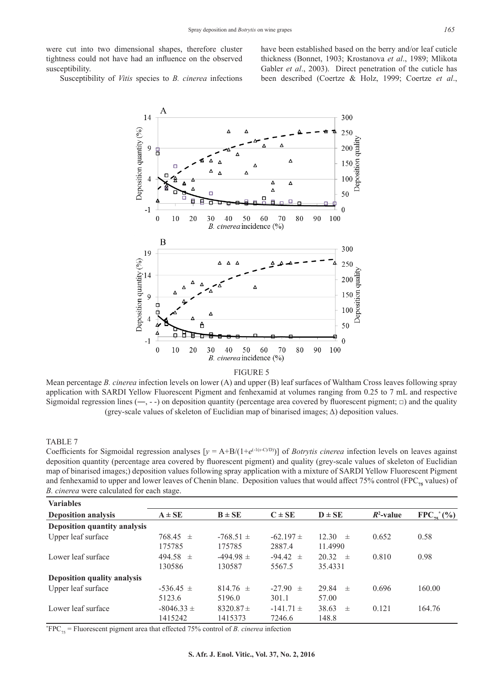were cut into two dimensional shapes, therefore cluster tightness could not have had an influence on the observed susceptibility.

have been established based on the berry and/or leaf cuticle thickness (Bonnet, 1903; Krostanova *et al*., 1989; Mlikota Gabler *et al.*, 2003). Direct penetration of the cuticle has been described (Coertze & Holz, 1999; Coertze *et al*.,

Susceptibility of *Vitis* species to *B. cinerea* infections



FIGURE 5

Mean percentage *B. cinerea* infection levels on lower (A) and upper (B) leaf surfaces of Waltham Cross leaves following spray application with SARDI Yellow Fluorescent Pigment and fenhexamid at volumes ranging from 0.25 to 7 mL and respective Sigmoidal regression lines (**―**, - -) on deposition quantity (percentage area covered by fluorescent pigment; □) and the quality (grey-scale values of skeleton of Euclidian map of binarised images; Δ) deposition values.

# TABLE 7

 $\overline{a}$ Coefficients for Sigmoidal regression analyses  $[y = A+B/(1+e^{(-1(x-C)/D)})]$  of *Botrytis cinerea* infection levels on leaves against deposition quantity (percentage area covered by fluorescent pigment) and quality (grey-scale values of skeleton of Euclidian map of binarised images;) deposition values following spray application with a mixture of SARDI Yellow Fluorescent Pigment and fenhexamid to upper and lower leaves of Chenin blanc. Deposition values that would affect 75% control (FPC<sub>75</sub> values) of *B. cinerea* were calculated for each stage.

| <b>Variables</b>                    |                |               |               |                |              |                          |
|-------------------------------------|----------------|---------------|---------------|----------------|--------------|--------------------------|
| <b>Deposition analysis</b>          | $A \pm SE$     | $B \pm SE$    | $C \pm SE$    | $D \pm SE$     | $R^2$ -value | $FPC_{75}^{\bullet}$ (%) |
| <b>Deposition quantity analysis</b> |                |               |               |                |              |                          |
| Upper leaf surface                  | $768.45 \pm$   | $-768.51 \pm$ | $-62.197 \pm$ | 12.30<br>$\pm$ | 0.652        | 0.58                     |
|                                     | 175785         | 175785        | 2887.4        | 11.4990        |              |                          |
| Lower leaf surface                  | $494.58 \pm$   | $-494.98 \pm$ | $-94.42 \pm$  | 20.32<br>$\pm$ | 0.810        | 0.98                     |
|                                     | 130586         | 130587        | 5567.5        | 35.4331        |              |                          |
| Deposition quality analysis         |                |               |               |                |              |                          |
| Upper leaf surface                  | $-536.45 \pm$  | $814.76 \pm$  | $-27.90 \pm$  | 29.84<br>$\pm$ | 0.696        | 160.00                   |
|                                     | 5123.6         | 5196.0        | 301.1         | 57.00          |              |                          |
| Lower leaf surface                  | $-8046.33 \pm$ | $8320.87 \pm$ | $-141.71 \pm$ | 38.63<br>$\pm$ | 0.121        | 164.76                   |
|                                     | 1415242        | 1415373       | 7246.6        | 148.8          |              |                          |

 $*FPC_{75}$  = Fluorescent pigment area that effected 75% control of *B. cinerea* infection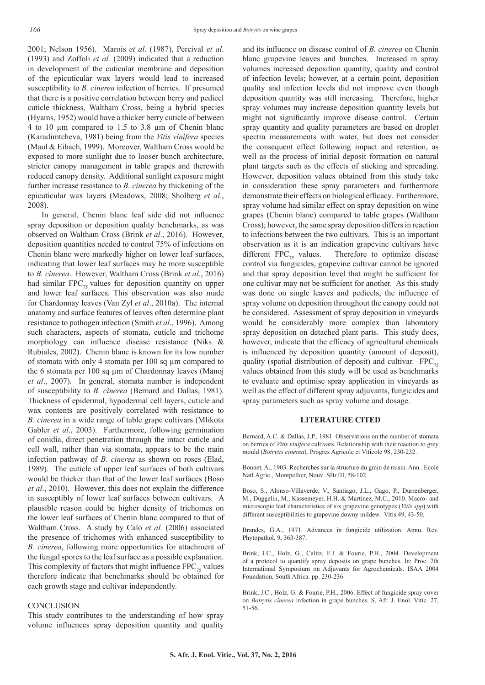2001; Nelson 1956). Marois *et al*. (1987), Percival *et al*. (1993) and Zoffoli *et al.* (2009) indicated that a reduction in development of the cuticular membrane and deposition of the epicuticular wax layers would lead to increased susceptibility to *B. cinerea* infection of berries. If presumed that there is a positive correlation between berry and pedicel cuticle thickness, Waltham Cross, being a hybrid species (Hyams, 1952) would have a thicker berry cuticle of between 4 to 10 µm compared to 1.5 to 3.8 µm of Chenin blanc (Karadimtcheva, 1981) being from the *Vitis vinifera* species (Maul & Eibach, 1999). Moreover, Waltham Cross would be exposed to more sunlight due to looser bunch architecture, stricter canopy management in table grapes and therewith reduced canopy density. Additional sunlight exposure might further increase resistance to *B. cinerea* by thickening of the epicuticular wax layers (Meadows, 2008; Sholberg *et al*., 2008).

In general, Chenin blanc leaf side did not influence spray deposition or deposition quality benchmarks, as was observed on Waltham Cross (Brink *et al*., 2016). However, deposition quantities needed to control 75% of infections on Chenin blanc were markedly higher on lower leaf surfaces, indicating that lower leaf surfaces may be more susceptible to *B. cinerea*. However, Waltham Cross (Brink *et al*., 2016) had similar  $FPC_{75}$  values for deposition quantity on upper and lower leaf surfaces. This observation was also made for Chardonnay leaves (Van Zyl *et al*., 2010a). The internal anatomy and surface features of leaves often determine plant resistance to pathogen infection (Smith *et al*., 1996). Among such characters, aspects of stomata, cuticle and trichome morphology can influence disease resistance (Niks & Rubiales, 2002). Chenin blanc is known for its low number of stomata with only 4 stomata per 100 sq µm compared to the 6 stomata per 100 sq µm of Chardonnay leaves (Manoj *et al*., 2007). In general, stomata number is independent of susceptibility to *B. cinerea* (Bernard and Dallas, 1981). Thickness of epidermal, hypodermal cell layers, cuticle and wax contents are positively correlated with resistance to *B. cinerea* in a wide range of table grape cultivars (Mlikota Gabler *et al*., 2003). Furthermore, following germination of conidia, direct penetration through the intact cuticle and cell wall, rather than via stomata, appears to be the main infection pathway of *B. cinerea* as shown on roses (Elad, 1989). The cuticle of upper leaf surfaces of both cultivars would be thicker than that of the lower leaf surfaces (Boso *et al*., 2010). However, this does not explain the difference in susceptibly of lower leaf surfaces between cultivars. A plausible reason could be higher density of trichomes on the lower leaf surfaces of Chenin blanc compared to that of Waltham Cross. A study by Calo *et al.* (2006) associated the presence of trichomes with enhanced susceptibility to *B. cinerea*, following more opportunities for attachment of the fungal spores to the leaf surface as a possible explanation. This complexity of factors that might influence  $FPC_{75}$  values therefore indicate that benchmarks should be obtained for each growth stage and cultivar independently.

#### **CONCLUSION**

This study contributes to the understanding of how spray volume influences spray deposition quantity and quality and its influence on disease control of *B. cinerea* on Chenin blanc grapevine leaves and bunches. Increased in spray volumes increased deposition quantity, quality and control of infection levels; however, at a certain point, deposition quality and infection levels did not improve even though deposition quantity was still increasing. Therefore, higher spray volumes may increase deposition quantity levels but might not significantly improve disease control. Certain spray quantity and quality parameters are based on droplet spectra measurements with water, but does not consider the consequent effect following impact and retention, as well as the process of initial deposit formation on natural plant targets such as the effects of sticking and spreading. However, deposition values obtained from this study take in consideration these spray parameters and furthermore demonstrate their effects on biological efficacy. Furthermore, spray volume had similar effect on spray deposition on wine grapes (Chenin blanc) compared to table grapes (Waltham Cross); however, the same spray deposition differs in reaction to infections between the two cultivars. This is an important observation as it is an indication grapevine cultivars have different  $FPC_{75}$  values. Therefore to optimize disease control via fungicides, grapevine cultivar cannot be ignored and that spray deposition level that might be sufficient for one cultivar may not be sufficient for another. As this study was done on single leaves and pedicels, the influence of spray volume on deposition throughout the canopy could not be considered. Assessment of spray deposition in vineyards would be considerably more complex than laboratory spray deposition on detached plant parts. This study does, however, indicate that the efficacy of agricultural chemicals is influenced by deposition quantity (amount of deposit), quality (spatial distribution of deposit) and cultivar.  $FPC_{75}$ values obtained from this study will be used as benchmarks to evaluate and optimise spray application in vineyards as well as the effect of different spray adjuvants, fungicides and spray parameters such as spray volume and dosage.

#### **LITERATURE CITED**

Bernard, A.C. & Dallas, J.P., 1981. Observations on the number of stomata on berries of *Vitis vinifera* cultivars. Relationship with their reaction to grey mould (*Botrytis cinerea*). Progres Agricole et Viticole 98, 230-232.

Bonnet, A., 1903. Recherches sur la structure du grain de raisin. Ann . Ecole Natl.Agric., Montpellier, Nouv .SBr.III, 58-102.

Boso, S., Alonso-Villaverde, V., Santiago, J.L., Gago, P., Durrenberger, M., Duggelin, M., Kassemeyer, H.H. & Martinez, M.C., 2010. Macro- and microscopic leaf characteristics of six grapevine genotypes (*Vitis spp*) with different susceptibilities to grapevine downy mildew. Vitis 49, 43-50.

Brandes, G.A., 1971. Advances in fungicide utilization. Annu. Rev. Phytopathol. 9, 363-387.

Brink, J.C., Holz, G., Calitz, F.J. & Fourie, P.H., 2004. Development of a protocol to quantify spray deposits on grape bunches. In: Proc. 7th International Symposium on Adjuvants for Agrochemicals. ISAA 2004 Foundation, South Africa. pp. 230-236.

Brink, J.C., Holz, G. & Fourie, P.H., 2006. Effect of fungicide spray cover on *Botrytis cinerea* infection in grape bunches. S. Afr. J. Enol. Vitic. 27, 51-56.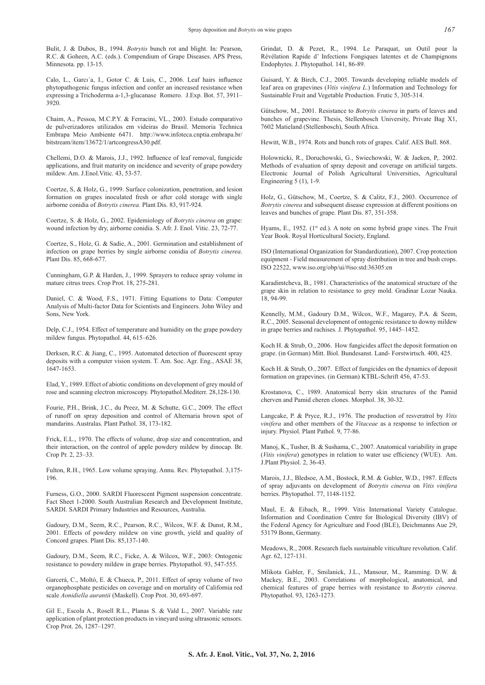Bulit, J. & Dubos, B., 1994. *Botrytis* bunch rot and blight. In: Pearson, R.C. & Goheen, A.C. (eds.). Compendium of Grape Diseases. APS Press, Minnesota. pp. 13-15.

Calo, L., Garcı´a, I., Gotor C. & Luis, C., 2006. Leaf hairs influence phytopathogenic fungus infection and confer an increased resistance when expressing a Trichoderma a-1,3-glucanase Romero. J.Exp. Bot. 57, 3911– 3920.

Chaim, A., Pessoa, M.C.P.Y. & Ferracini, VL., 2003. Estudo comparativo de pulverizadores utilizados em videiras do Brasil. Memoria Technica Embrapa Meio Ambiente 6471. http://www.infoteca.cnptia.embrapa.br/ bitstream/item/13672/1/artcongressA30.pdf.

Chellemi, D.O. & Marois, J.J., 1992. Influence of leaf removal, fungicide applications, and fruit maturity on incidence and severity of grape powdery mildew. Am. J.Enol.Vitic. 43, 53-57.

Coertze, S, & Holz, G., 1999. Surface colonization, penetration, and lesion formation on grapes inoculated fresh or after cold storage with single airborne conidia of *Botrytis cinerea.* Plant Dis. 83, 917-924.

Coertze, S. & Holz, G., 2002. Epidemiology of *Botrytis cinerea* on grape: wound infection by dry, airborne conidia. S. Afr. J. Enol. Vitic. 23, 72-77.

Coertze, S., Holz, G. & Sadie, A., 2001. Germination and establishment of infection on grape berries by single airborne conidia of *Botrytis cinerea*. Plant Dis. 85, 668-677.

Cunningham, G.P. & Harden, J., 1999. Sprayers to reduce spray volume in mature citrus trees. Crop Prot. 18, 275-281.

Daniel, C. & Wood, F.S., 1971. Fitting Equations to Data: Computer Analysis of Multi-factor Data for Scientists and Engineers. John Wiley and Sons, New York.

Delp, C.J., 1954. Effect of temperature and humidity on the grape powdery mildew fungus. Phytopathol. 44, 615–626.

Derksen, R.C. & Jiang, C., 1995. Automated detection of fluorescent spray deposits with a computer vision system. T. Am. Soc. Agr. Eng., ASAE 38, 1647-1653.

Elad, Y., 1989. Effect of abiotic conditions on development of grey mould of rose and scanning electron microscopy. Phytopathol.Mediterr. 28,128-130.

Fourie, P.H., Brink, J.C., du Preez, M. & Schutte, G.C., 2009. The effect of runoff on spray deposition and control of Alternaria brown spot of mandarins. Australas. Plant Pathol. 38, 173-182.

Frick, E.L., 1970. The effects of volume, drop size and concentration, and their interaction, on the control of apple powdery mildew by dinocap. Br. Crop Pr. 2, 23–33.

Fulton, R.H., 1965. Low volume spraying. Annu. Rev. Phytopathol. 3,175- 196.

Furness, G.O., 2000. SARDI Fluorescent Pigment suspension concentrate. Fact Sheet 1-2000. South Australian Research and Development Institute, SARDI. SARDI Primary Industries and Resources, Australia.

Gadoury, D.M., Seem, R.C., Pearson, R.C., Wilcox, W.F. & Dunst, R.M., 2001. Effects of powdery mildew on vine growth, yield and quality of Concord grapes. Plant Dis. 85,137-140.

Gadoury, D.M., Seem, R.C., Ficke, A. & Wilcox, W.F., 2003: Ontogenic resistance to powdery mildew in grape berries. Phytopathol. 93, 547-555.

Garcerá, C., Moltó, E. & Chueca, P., 2011. Effect of spray volume of two organophosphate pesticides on coverage and on mortality of California red scale *Aonidiella aurantii* (Maskell). Crop Prot. 30, 693-697.

Gil E., Escola A., Rosell R.L., Planas S. & Vald L., 2007. Variable rate application of plant protection products in vineyard using ultrasonic sensors. Crop Prot. 26, 1287–1297.

Grindat, D. & Pezet, R., 1994. Le Paraquat, un Outil pour la Révélation Rapide d' Infections Fongiques latentes et de Champignons Endophytes. J. Phytopathol. 141, 86-89.

Guisard, Y. & Birch, C.J., 2005. Towards developing reliable models of leaf area on grapevines (*Vitis vinifera L*.) Information and Technology for Sustainable Fruit and Vegetable Production. Frutic 5, 305-314.

Gütschow, M., 2001. Resistance to *Botrytis cinerea* in parts of leaves and bunches of grapevine. Thesis, Stellenbosch University, Private Bag X1, 7602 Matieland (Stellenbosch), South Africa.

Hewitt, W.B., 1974. Rots and bunch rots of grapes. Calif. AES Bull. 868.

Holownicki, R., Doruchowski, G., Swiechowski, W. & Jaeken, P,. 2002. Methods of evaluation of spray deposit and coverage on artificial targets. Electronic Journal of Polish Agricultural Universities, Agricultural Engineering 5 (1), 1-9.

Holz, G., Gütschow, M., Coertze, S. & Calitz, F.J., 2003. Occurrence of *Botrytis cinerea* and subsequent disease expression at different positions on leaves and bunches of grape. Plant Dis. 87, 351-358.

Hyams, E., 1952. ( $1<sup>st</sup>$  ed.). A note on some hybrid grape vines. The Fruit Year Book. Royal Horticultural Society, England.

ISO (International Organization for Standardization), 2007. Crop protection equipment - Field measurement of spray distribution in tree and bush crops. ISO 22522, www.iso.org/obp/ui/#iso:std:36305:en

Karadimtcheva, B., 1981. Characteristics of the anatomical structure of the grape skin in relation to resistance to grey mold. Gradinar Lozar Nauka. 18, 94-99.

Kennelly, M.M., Gadoury D.M., Wilcox, W.F., Magarey, P.A. & Seem, R.C., 2005. Seasonal development of ontogenic resistance to downy mildew in grape berries and rachises. J. Phytopathol. 95, 1445–1452.

Koch H. & Strub, O., 2006. How fungicides affect the deposit formation on grape. (in German) Mitt. Biol. Bundesanst. Land- Forstwirtsch. 400, 425.

Koch H. & Strub, O., 2007. Effect of fungicides on the dynamics of deposit formation on grapevines. (in German) KTBL-Schrift 456, 47-53.

Krostanova, C., 1989. Anatomical berry skin structures of the Pamid cherven and Pamid cheren clones. Morphol. 38, 30-32.

Langcake, P. & Pryce, R.J., 1976. The production of resveratrol by *Vitis vinifera* and other members of the *Vitaceae* as a response to infection or injury. Physiol. Plant Pathol. 9, 77-86.

Manoj, K., Tusher, B. & Sushama, C., 2007. Anatomical variability in grape (*Vitis vinifera*) genotypes in relation to water use efficiency (WUE). Am. J.Plant Physiol. 2, 36-43.

Marois, J.J., Bledsoe, A.M., Bostock, R.M. & Gubler, W.D., 1987. Effects of spray adjuvants on development of *Botrytis cinerea* on *Vitis vinifera* berries. Phytopathol. 77, 1148-1152.

Maul, E. & Eibach, R., 1999. Vitis International Variety Catalogue. Information and Coordination Centre for Biological Diversity (IBV) of the Federal Agency for Agriculture and Food (BLE), Deichmanns Aue 29, 53179 Bonn, Germany.

Meadows, R., 2008. Research fuels sustainable viticulture revolution. Calif. Agr. 62, 127-131.

Mlikota Gabler, F., Smilanick, J.L., Mansour, M., Ramming. D.W. & Mackey, B.E., 2003. Correlations of morphological, anatomical, and chemical features of grape berries with resistance to *Botrytis cinerea*. Phytopathol. 93, 1263-1273.